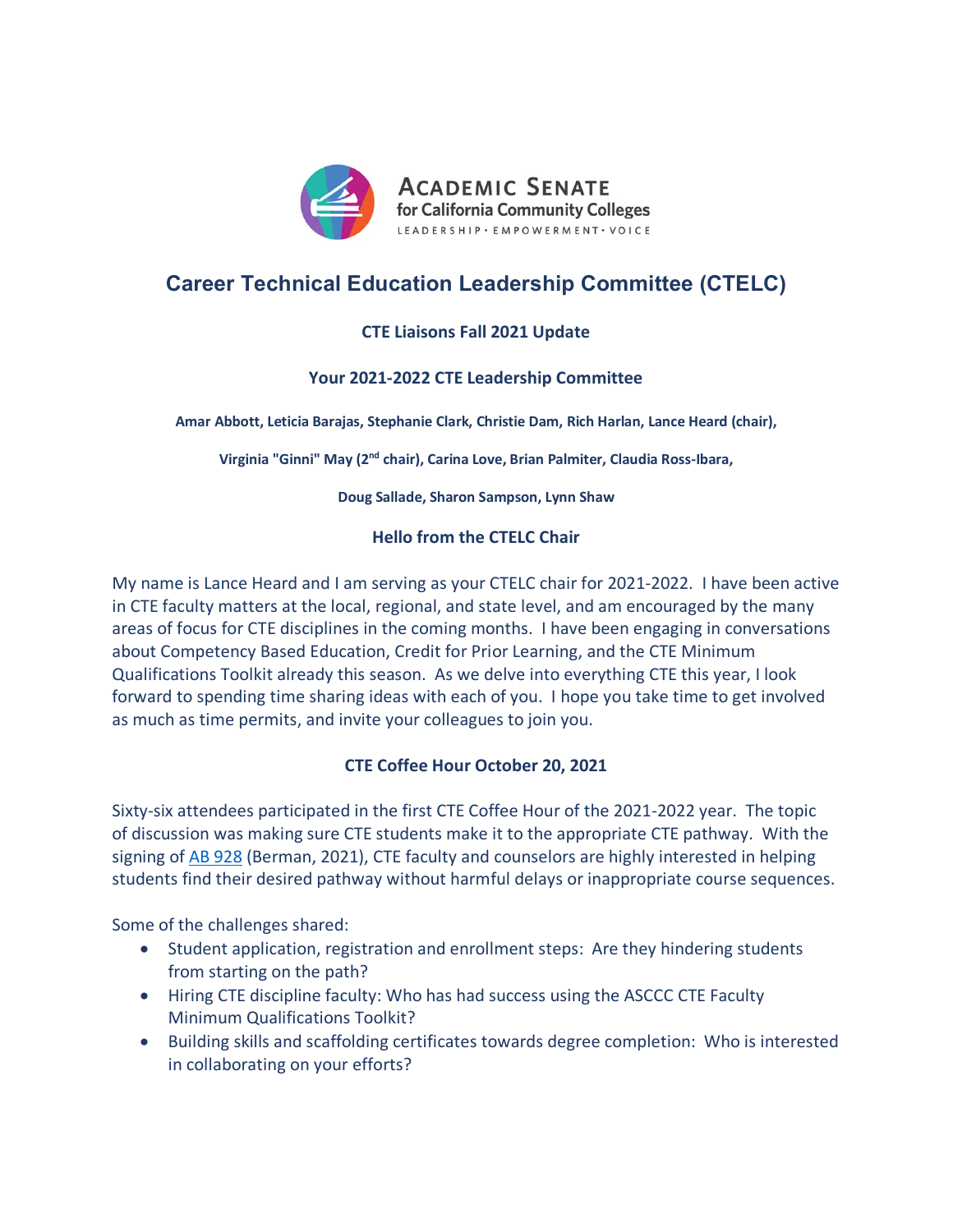

# **Career Technical Education Leadership Committee (CTELC)**

# **CTE Liaisons Fall 2021 Update**

## **Your 2021-2022 CTE Leadership Committee**

**Amar Abbott, Leticia Barajas, Stephanie Clark, Christie Dam, Rich Harlan, Lance Heard (chair),** 

**Virginia "Ginni" May (2nd chair), Carina Love, Brian Palmiter, Claudia Ross-Ibara,** 

**Doug Sallade, Sharon Sampson, Lynn Shaw** 

## **Hello from the CTELC Chair**

My name is Lance Heard and I am serving as your CTELC chair for 2021-2022. I have been active in CTE faculty matters at the local, regional, and state level, and am encouraged by the many areas of focus for CTE disciplines in the coming months. I have been engaging in conversations about Competency Based Education, Credit for Prior Learning, and the CTE Minimum Qualifications Toolkit already this season. As we delve into everything CTE this year, I look forward to spending time sharing ideas with each of you. I hope you take time to get involved as much as time permits, and invite your colleagues to join you.

# **CTE Coffee Hour October 20, 2021**

Sixty-six attendees participated in the first CTE Coffee Hour of the 2021-2022 year. The topic of discussion was making sure CTE students make it to the appropriate CTE pathway. With the signing of AB 928 (Berman, 2021), CTE faculty and counselors are highly interested in helping students find their desired pathway without harmful delays or inappropriate course sequences.

Some of the challenges shared:

- Student application, registration and enrollment steps: Are they hindering students from starting on the path?
- Hiring CTE discipline faculty: Who has had success using the ASCCC CTE Faculty Minimum Qualifications Toolkit?
- Building skills and scaffolding certificates towards degree completion: Who is interested in collaborating on your efforts?